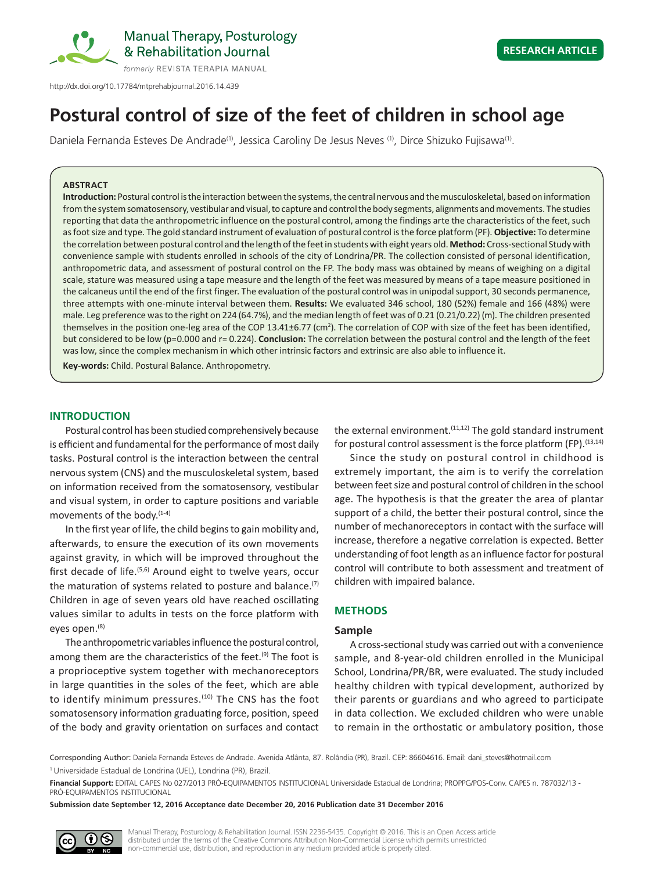

# **Postural control of size of the feet of children in school age**

Daniela Fernanda Esteves De Andrade<sup>(1)</sup>, Jessica Caroliny De Jesus Neves <sup>(1)</sup>, Dirce Shizuko Fujisawa<sup>(1)</sup>.

#### **ABSTRACT**

**Introduction:** Postural control is the interaction between the systems, the central nervous and the musculoskeletal, based on information from the system somatosensory, vestibular and visual, to capture and control the body segments, alignments and movements. The studies reporting that data the anthropometric influence on the postural control, among the findings arte the characteristics of the feet, such as foot size and type. The gold standard instrument of evaluation of postural control is the force platform (PF). **Objective:** To determine the correlation between postural control and the length of the feet in students with eight years old. **Method:** Cross-sectional Study with convenience sample with students enrolled in schools of the city of Londrina/PR. The collection consisted of personal identification, anthropometric data, and assessment of postural control on the FP. The body mass was obtained by means of weighing on a digital scale, stature was measured using a tape measure and the length of the feet was measured by means of a tape measure positioned in the calcaneus until the end of the first finger. The evaluation of the postural control was in unipodal support, 30 seconds permanence, three attempts with one-minute interval between them. **Results:** We evaluated 346 school, 180 (52%) female and 166 (48%) were male. Leg preference was to the right on 224 (64.7%), and the median length of feet was of 0.21 (0.21/0.22) (m). The children presented themselves in the position one-leg area of the COP 13.41±6.77 (cm<sup>2</sup>). The correlation of COP with size of the feet has been identified, but considered to be low (p=0.000 and r= 0.224). **Conclusion:** The correlation between the postural control and the length of the feet was low, since the complex mechanism in which other intrinsic factors and extrinsic are also able to influence it.

**Key-words:** Child. Postural Balance. Anthropometry.

#### **INTRODUCTION**

Postural control has been studied comprehensively because is efficient and fundamental for the performance of most daily tasks. Postural control is the interaction between the central nervous system (CNS) and the musculoskeletal system, based on information received from the somatosensory, vestibular and visual system, in order to capture positions and variable movements of the body.<sup>(1-4)</sup>

In the first year of life, the child begins to gain mobility and, afterwards, to ensure the execution of its own movements against gravity, in which will be improved throughout the first decade of life.<sup>(5,6)</sup> Around eight to twelve years, occur the maturation of systems related to posture and balance. $(7)$ Children in age of seven years old have reached oscillating values similar to adults in tests on the force platform with eyes open.<sup>(8)</sup>

The anthropometric variables influence the postural control, among them are the characteristics of the feet.<sup>(9)</sup> The foot is a proprioceptive system together with mechanoreceptors in large quantities in the soles of the feet, which are able to identify minimum pressures.<sup>(10)</sup> The CNS has the foot somatosensory information graduating force, position, speed of the body and gravity orientation on surfaces and contact

the external environment.<sup> $(11,12)$ </sup> The gold standard instrument for postural control assessment is the force platform (FP).  $(13,14)$ 

Since the study on postural control in childhood is extremely important, the aim is to verify the correlation between feet size and postural control of children in the school age. The hypothesis is that the greater the area of plantar support of a child, the better their postural control, since the number of mechanoreceptors in contact with the surface will increase, therefore a negative correlation is expected. Better understanding of foot length as an influence factor for postural control will contribute to both assessment and treatment of children with impaired balance.

# **METHODS**

# **Sample**

A cross-sectional study was carried out with a convenience sample, and 8-year-old children enrolled in the Municipal School, Londrina/PR/BR, were evaluated. The study included healthy children with typical development, authorized by their parents or guardians and who agreed to participate in data collection. We excluded children who were unable to remain in the orthostatic or ambulatory position, those

Corresponding Author: Daniela Fernanda Esteves de Andrade. Avenida Atlânta, 87. Rolândia (PR), Brazil. CEP: 86604616. Email: dani\_steves@hotmail.com

**Financial Support:** EDITAL CAPES No 027/2013 PRÓ-EQUIPAMENTOS INSTITUCIONAL Universidade Estadual de Londrina; PROPPG/POS-Conv. CAPES n. 787032/13 - PRÓ-EQUIPAMENTOS INSTITUCIONAL

**Submission date September 12, 2016 Acceptance date December 20, 2016 Publication date 31 December 2016**



Manual Therapy, Posturology & Rehabilitation Journal. ISSN 2236-5435. Copyright © 2016. This is an Open Access article distributed under the terms of the Creative Commons Attribution Non-Commercial License which permits unrestricted non-commercial use, distribution, and reproduction in any medium provided article is properly cited.

<sup>1</sup> Universidade Estadual de Londrina (UEL), Londrina (PR), Brazil.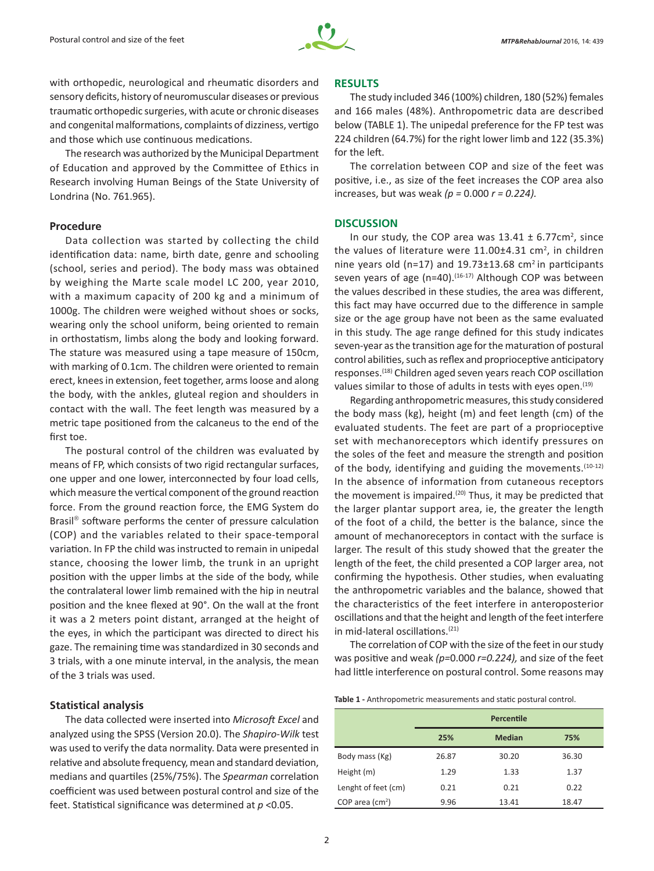

with orthopedic, neurological and rheumatic disorders and sensory deficits, history of neuromuscular diseases or previous traumatic orthopedic surgeries, with acute or chronic diseases and congenital malformations, complaints of dizziness, vertigo and those which use continuous medications.

The research was authorized by the Municipal Department of Education and approved by the Committee of Ethics in Research involving Human Beings of the State University of Londrina (No. 761.965).

### **Procedure**

Data collection was started by collecting the child identification data: name, birth date, genre and schooling (school, series and period). The body mass was obtained by weighing the Marte scale model LC 200, year 2010, with a maximum capacity of 200 kg and a minimum of 1000g. The children were weighed without shoes or socks, wearing only the school uniform, being oriented to remain in orthostatism, limbs along the body and looking forward. The stature was measured using a tape measure of 150cm, with marking of 0.1cm. The children were oriented to remain erect, knees in extension, feet together, arms loose and along the body, with the ankles, gluteal region and shoulders in contact with the wall. The feet length was measured by a metric tape positioned from the calcaneus to the end of the first toe.

The postural control of the children was evaluated by means of FP, which consists of two rigid rectangular surfaces, one upper and one lower, interconnected by four load cells, which measure the vertical component of the ground reaction force. From the ground reaction force, the EMG System do Brasil<sup>®</sup> software performs the center of pressure calculation (COP) and the variables related to their space-temporal variation. In FP the child was instructed to remain in unipedal stance, choosing the lower limb, the trunk in an upright position with the upper limbs at the side of the body, while the contralateral lower limb remained with the hip in neutral position and the knee flexed at 90°. On the wall at the front it was a 2 meters point distant, arranged at the height of the eyes, in which the participant was directed to direct his gaze. The remaining time was standardized in 30 seconds and 3 trials, with a one minute interval, in the analysis, the mean of the 3 trials was used.

# **Statistical analysis**

The data collected were inserted into *Microsoft Excel* and analyzed using the SPSS (Version 20.0). The *Shapiro-Wilk* test was used to verify the data normality. Data were presented in relative and absolute frequency, mean and standard deviation, medians and quartiles (25%/75%). The *Spearman* correlation coefficient was used between postural control and size of the feet. Statistical significance was determined at *p* <0.05.

### **RESULTS**

The study included 346 (100%) children, 180 (52%) females and 166 males (48%). Anthropometric data are described below (TABLE 1). The unipedal preference for the FP test was 224 children (64.7%) for the right lower limb and 122 (35.3%) for the left.

The correlation between COP and size of the feet was positive, i.e., as size of the feet increases the COP area also increases, but was weak *(p =* 0.000 *r = 0.224).*

## **DISCUSSION**

In our study, the COP area was  $13.41 \pm 6.77$ cm<sup>2</sup>, since the values of literature were  $11.00\pm4.31$  cm<sup>2</sup>, in children nine years old (n=17) and 19.73 $\pm$ 13.68 cm<sup>2</sup> in participants seven years of age (n=40). $(16-17)$  Although COP was between the values described in these studies, the area was different, this fact may have occurred due to the difference in sample size or the age group have not been as the same evaluated in this study. The age range defined for this study indicates seven-year as the transition age for the maturation of postural control abilities, such as reflex and proprioceptive anticipatory responses.(18) Children aged seven years reach COP oscillation values similar to those of adults in tests with eyes open.<sup>(19)</sup>

Regarding anthropometric measures, this study considered the body mass (kg), height (m) and feet length (cm) of the evaluated students. The feet are part of a proprioceptive set with mechanoreceptors which identify pressures on the soles of the feet and measure the strength and position of the body, identifying and guiding the movements.<sup>(10-12)</sup> In the absence of information from cutaneous receptors the movement is impaired.<sup> $(20)$ </sup> Thus, it may be predicted that the larger plantar support area, ie, the greater the length of the foot of a child, the better is the balance, since the amount of mechanoreceptors in contact with the surface is larger. The result of this study showed that the greater the length of the feet, the child presented a COP larger area, not confirming the hypothesis. Other studies, when evaluating the anthropometric variables and the balance, showed that the characteristics of the feet interfere in anteroposterior oscillations and that the height and length of the feet interfere in mid-lateral oscillations.(21)

The correlation of COP with the size of the feet in our study was positive and weak *(p=*0.000 *r=0.224),* and size of the feet had little interference on postural control. Some reasons may

**Table 1 -** Anthropometric measurements and static postural control.

|                     | Percentile |               |       |
|---------------------|------------|---------------|-------|
|                     | 25%        | <b>Median</b> | 75%   |
| Body mass (Kg)      | 26.87      | 30.20         | 36.30 |
| Height (m)          | 1.29       | 1.33          | 1.37  |
| Lenght of feet (cm) | 0.21       | 0.21          | 0.22  |
| COP area $(cm2)$    | 9.96       | 13.41         | 18.47 |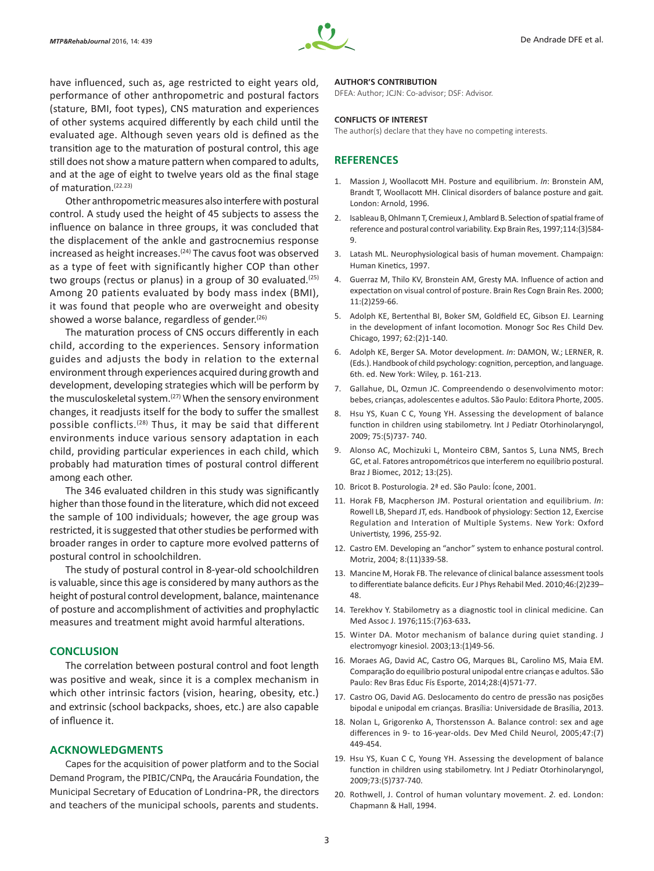

have influenced, such as, age restricted to eight years old, performance of other anthropometric and postural factors (stature, BMI, foot types), CNS maturation and experiences of other systems acquired differently by each child until the evaluated age. Although seven years old is defined as the transition age to the maturation of postural control, this age still does not show a mature pattern when compared to adults, and at the age of eight to twelve years old as the final stage of maturation.(22.23)

Other anthropometric measures also interfere with postural control. A study used the height of 45 subjects to assess the influence on balance in three groups, it was concluded that the displacement of the ankle and gastrocnemius response increased as height increases.<sup>(24)</sup> The cavus foot was observed as a type of feet with significantly higher COP than other two groups (rectus or planus) in a group of 30 evaluated.<sup>(25)</sup> Among 20 patients evaluated by body mass index (BMI), it was found that people who are overweight and obesity showed a worse balance, regardless of gender.<sup>(26)</sup>

The maturation process of CNS occurs differently in each child, according to the experiences. Sensory information guides and adjusts the body in relation to the external environment through experiences acquired during growth and development, developing strategies which will be perform by the musculoskeletal system.<sup>(27)</sup> When the sensory environment changes, it readjusts itself for the body to suffer the smallest possible conflicts.<sup>(28)</sup> Thus, it may be said that different environments induce various sensory adaptation in each child, providing particular experiences in each child, which probably had maturation times of postural control different among each other.

The 346 evaluated children in this study was significantly higher than those found in the literature, which did not exceed the sample of 100 individuals; however, the age group was restricted, it is suggested that other studies be performed with broader ranges in order to capture more evolved patterns of postural control in schoolchildren.

The study of postural control in 8-year-old schoolchildren is valuable, since this age is considered by many authors as the height of postural control development, balance, maintenance of posture and accomplishment of activities and prophylactic measures and treatment might avoid harmful alterations.

# **CONCLUSION**

The correlation between postural control and foot length was positive and weak, since it is a complex mechanism in which other intrinsic factors (vision, hearing, obesity, etc.) and extrinsic (school backpacks, shoes, etc.) are also capable of influence it.

### **ACKNOWLEDGMENTS**

Capes for the acquisition of power platform and to the Social Demand Program, the PIBIC/CNPq, the Araucária Foundation, the Municipal Secretary of Education of Londrina-PR, the directors and teachers of the municipal schools, parents and students.

#### **AUTHOR'S CONTRIBUTION**

DFEA: Author; JCJN: Co-advisor; DSF: Advisor.

#### **CONFLICTS OF INTEREST**

The author(s) declare that they have no competing interests.

## **REFERENCES**

- 1. Massion J, Woollacott MH. Posture and equilibrium. *In*: Bronstein AM, Brandt T, Woollacott MH. Clinical disorders of balance posture and gait*.* London: Arnold, 1996.
- 2. Isableau B, Ohlmann T, Cremieux J, Amblard B. Selection of spatial frame of reference and postural control variability. Exp Brain Res, 1997;114:(3)584- 9.
- 3. Latash ML. Neurophysiological basis of human movement. Champaign: Human Kinetics, 1997.
- 4. Guerraz M, Thilo KV, Bronstein AM, Gresty MA. Influence of action and expectation on visual control of posture. Brain Res Cogn Brain Res. 2000; 11:(2)259-66.
- 5. Adolph KE, Bertenthal BI, Boker SM, Goldfield EC, Gibson EJ. Learning in the development of infant locomotion. Monogr Soc Res Child Dev. Chicago, 1997; 62:(2)1-140.
- 6. Adolph KE, Berger SA. Motor development. *In*: DAMON, W.; LERNER, R. (Eds.). Handbook of child psychology: cognition, perception, and language. 6th. ed. New York: Wiley, p. 161-213.
- 7. Gallahue, DL, Ozmun JC. Compreendendo o desenvolvimento motor: bebes, crianças, adolescentes e adultos. São Paulo: Editora Phorte, 2005.
- 8. Hsu YS, Kuan C C, Young YH. Assessing the development of balance function in children using stabilometry. Int J Pediatr Otorhinolaryngol, 2009; 75:(5)737- 740.
- 9. Alonso AC, Mochizuki L, Monteiro CBM, Santos S, Luna NMS, Brech GC, et al. Fatores antropométricos que interferem no equilíbrio postural. Braz J Biomec, 2012; 13:(25).
- 10. Bricot B. Posturologia. 2ª ed. São Paulo: Ícone, 2001.
- 11. Horak FB, Macpherson JM. Postural orientation and equilibrium. *In*: Rowell LB, Shepard JT, eds. Handbook of physiology: Section 12, Exercise Regulation and Interation of Multiple Systems. New York: Oxford Univertisty, 1996, 255-92.
- 12. Castro EM. Developing an "anchor" system to enhance postural control. Motriz, 2004; 8:(11)339-58.
- 13. Mancine M, Horak FB. The relevance of clinical balance assessment tools to differentiate balance deficits. Eur J Phys Rehabil Med. 2010;46:(2)239-48.
- 14. Terekhov Y. Stabilometry as a diagnostic tool in clinical medicine. Can Med Assoc J. 1976;115:(7)63-633**.**
- 15. Winter DA. Motor mechanism of balance during quiet standing. J electromyogr kinesiol. 2003;13:(1)49-56.
- 16. Moraes AG, David AC, Castro OG, Marques BL, Carolino MS, Maia EM. Comparação do equilíbrio postural unipodal entre crianças e adultos. São Paulo: Rev Bras Educ Fís Esporte, 2014;28:(4)571-77.
- 17. Castro OG, David AG. Deslocamento do centro de pressão nas posições bipodal e unipodal em crianças. Brasília: Universidade de Brasília, 2013.
- 18. Nolan L, Grigorenko A, Thorstensson A. Balance control: sex and age differences in 9- to 16-year-olds. Dev Med Child Neurol, 2005;47:(7) 449-454.
- 19. Hsu YS, Kuan C C, Young YH. Assessing the development of balance function in children using stabilometry. Int J Pediatr Otorhinolaryngol, 2009;73:(5)737-740.
- 20. Rothwell, J. Control of human voluntary movement. *2.* ed. London: Chapmann & Hall, 1994.